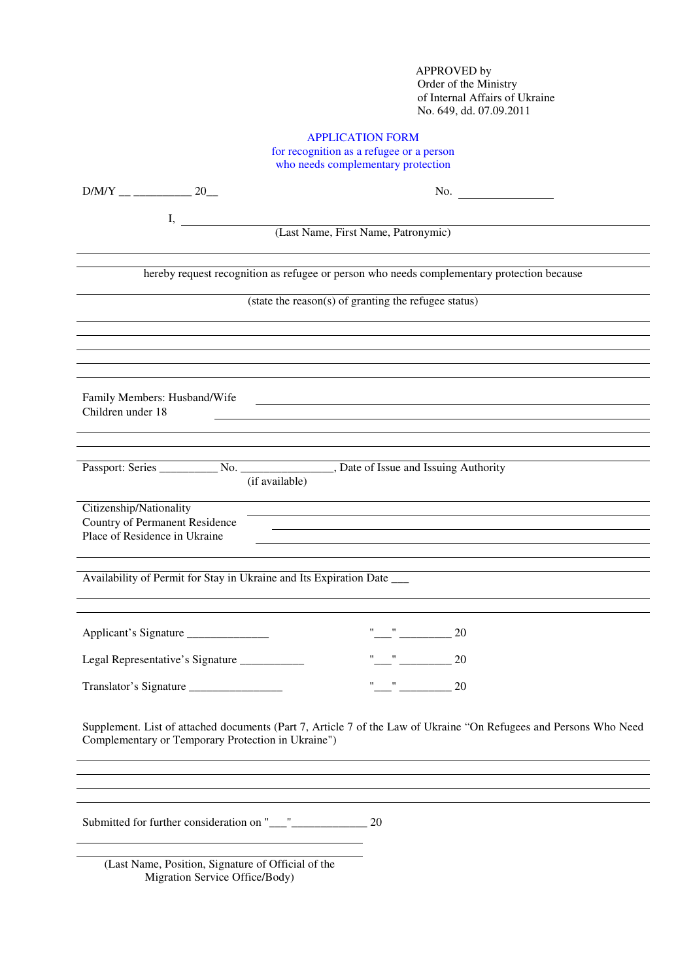APPROVED by Order of the Ministry of Internal Affairs of Ukraine No. 649, dd. 07.09.2011

# APPLICATION FORM

for recognition as a refugee or a person who needs complementary protection

|                                                                                            | No. $\qquad \qquad$                                                                                                                                                                                                                                                        |
|--------------------------------------------------------------------------------------------|----------------------------------------------------------------------------------------------------------------------------------------------------------------------------------------------------------------------------------------------------------------------------|
| I,                                                                                         |                                                                                                                                                                                                                                                                            |
|                                                                                            | (Last Name, First Name, Patronymic)                                                                                                                                                                                                                                        |
|                                                                                            | hereby request recognition as refugee or person who needs complementary protection because                                                                                                                                                                                 |
|                                                                                            | (state the reason(s) of granting the refugee status)                                                                                                                                                                                                                       |
|                                                                                            |                                                                                                                                                                                                                                                                            |
|                                                                                            |                                                                                                                                                                                                                                                                            |
| Family Members: Husband/Wife<br>Children under 18                                          |                                                                                                                                                                                                                                                                            |
|                                                                                            |                                                                                                                                                                                                                                                                            |
|                                                                                            | (if available)                                                                                                                                                                                                                                                             |
| Citizenship/Nationality<br>Country of Permanent Residence<br>Place of Residence in Ukraine |                                                                                                                                                                                                                                                                            |
| Availability of Permit for Stay in Ukraine and Its Expiration Date ___                     |                                                                                                                                                                                                                                                                            |
| Applicant's Signature                                                                      | $" "$ $20$                                                                                                                                                                                                                                                                 |
| Legal Representative's Signature ___________                                               | $\frac{\partial \mathbf{u}}{\partial \mathbf{u}} = \frac{\partial \mathbf{u}}{\partial \mathbf{u}} = \frac{\partial \mathbf{u}}{\partial \mathbf{u}} = \frac{\partial \mathbf{u}}{\partial \mathbf{u}} = \frac{\partial \mathbf{u}}{\partial \mathbf{u}}$<br><sup>20</sup> |
|                                                                                            | $\mathbf{u}$ and $\mathbf{u}$ and $\mathbf{u}$<br>20                                                                                                                                                                                                                       |
| Complementary or Temporary Protection in Ukraine")                                         | Supplement. List of attached documents (Part 7, Article 7 of the Law of Ukraine "On Refugees and Persons Who Need                                                                                                                                                          |
|                                                                                            |                                                                                                                                                                                                                                                                            |
|                                                                                            | 20                                                                                                                                                                                                                                                                         |
| (Last Name, Position, Signature of Official of the                                         |                                                                                                                                                                                                                                                                            |

Migration Service Office/Body)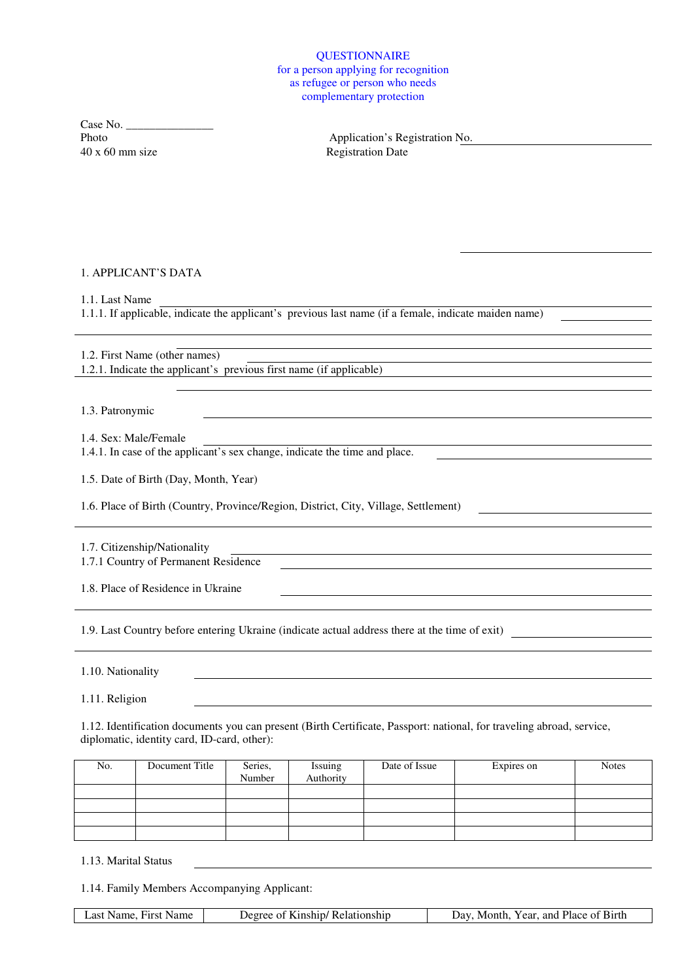### **QUESTIONNAIRE** for a person applying for recognition as refugee or person who needs complementary protection

 $Case No. \n  
\nPhoto$ 40 x 60 mm size Registration Date

Application's Registration No.

### 1. APPLICANT'S DATA

1.1. Last Name

1.1.1. If applicable, indicate the applicant's previous last name (if a female, indicate maiden name)

1.2. First Name (other names) 1.2.1. Indicate the applicant's previous first name (if applicable)

1.3. Patronymic

1.4. Sex: Male/Female

1.4.1. In case of the applicant's sex change, indicate the time and place.

1.5. Date of Birth (Day, Month, Year)

1.6. Place of Birth (Country, Province/Region, District, City, Village, Settlement)

1.7. Citizenship/Nationality 1.7.1 Country of Permanent Residence

1.8. Place of Residence in Ukraine

1.9. Last Country before entering Ukraine (indicate actual address there at the time of exit)

1.10. Nationality

1.11. Religion

1.12. Identification documents you can present (Birth Certificate, Passport: national, for traveling abroad, service, diplomatic, identity card, ID-card, other):

| No. | Document Title | Series,<br>Number | Issuing<br>Authority | Date of Issue | Expires on | <b>Notes</b> |
|-----|----------------|-------------------|----------------------|---------------|------------|--------------|
|     |                |                   |                      |               |            |              |
|     |                |                   |                      |               |            |              |
|     |                |                   |                      |               |            |              |
|     |                |                   |                      |               |            |              |

1.13. Marital Status

1.14. Family Members Accompanying Applicant:

Last Name, First Name Degree of Kinship/ Relationship Day, Month, Year, and Place of Birth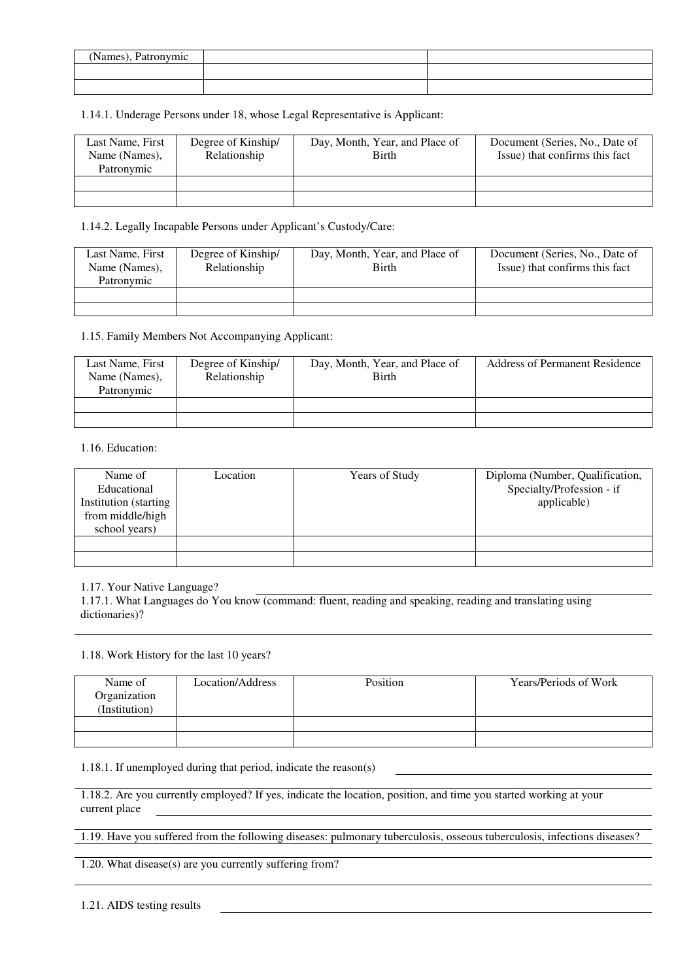| (Names), Patronymic |  |
|---------------------|--|
|                     |  |
|                     |  |

1.14.1. Underage Persons under 18, whose Legal Representative is Applicant:

| Last Name, First<br>Name (Names),<br>Patronymic | Degree of Kinship/<br>Relationship | Day, Month, Year, and Place of<br>Birth | Document (Series, No., Date of<br>Issue) that confirms this fact |
|-------------------------------------------------|------------------------------------|-----------------------------------------|------------------------------------------------------------------|
|                                                 |                                    |                                         |                                                                  |
|                                                 |                                    |                                         |                                                                  |

1.14.2. Legally Incapable Persons under Applicant's Custody/Care:

| Last Name, First<br>Name (Names),<br>Patronymic | Degree of Kinship/<br>Relationship | Day, Month, Year, and Place of<br>Birth | Document (Series, No., Date of<br>Issue) that confirms this fact |
|-------------------------------------------------|------------------------------------|-----------------------------------------|------------------------------------------------------------------|
|                                                 |                                    |                                         |                                                                  |
|                                                 |                                    |                                         |                                                                  |

1.15. Family Members Not Accompanying Applicant:

| Last Name, First<br>Name (Names),<br>Patronymic | Degree of Kinship/<br>Relationship | Day, Month, Year, and Place of<br>Birth | Address of Permanent Residence |
|-------------------------------------------------|------------------------------------|-----------------------------------------|--------------------------------|
|                                                 |                                    |                                         |                                |
|                                                 |                                    |                                         |                                |

1.16. Education:

| Name of<br>Educational<br>Institution (starting<br>from middle/high<br>school years) | Location | Years of Study | Diploma (Number, Qualification,<br>Specialty/Profession - if<br>applicable) |
|--------------------------------------------------------------------------------------|----------|----------------|-----------------------------------------------------------------------------|
|                                                                                      |          |                |                                                                             |
|                                                                                      |          |                |                                                                             |

1.17. Your Native Language?

1.17.1. What Languages do You know (command: fluent, reading and speaking, reading and translating using dictionaries)?

1.18. Work History for the last 10 years?

| Name of<br>Organization<br>(Institution) | Location/Address | Position | Years/Periods of Work |
|------------------------------------------|------------------|----------|-----------------------|
|                                          |                  |          |                       |
|                                          |                  |          |                       |

1.18.1. If unemployed during that period, indicate the reason(s)

1.18.2. Are you currently employed? If yes, indicate the location, position, and time you started working at your current place

1.19. Have you suffered from the following diseases: pulmonary tuberculosis, osseous tuberculosis, infections diseases?

1.20. What disease(s) are you currently suffering from?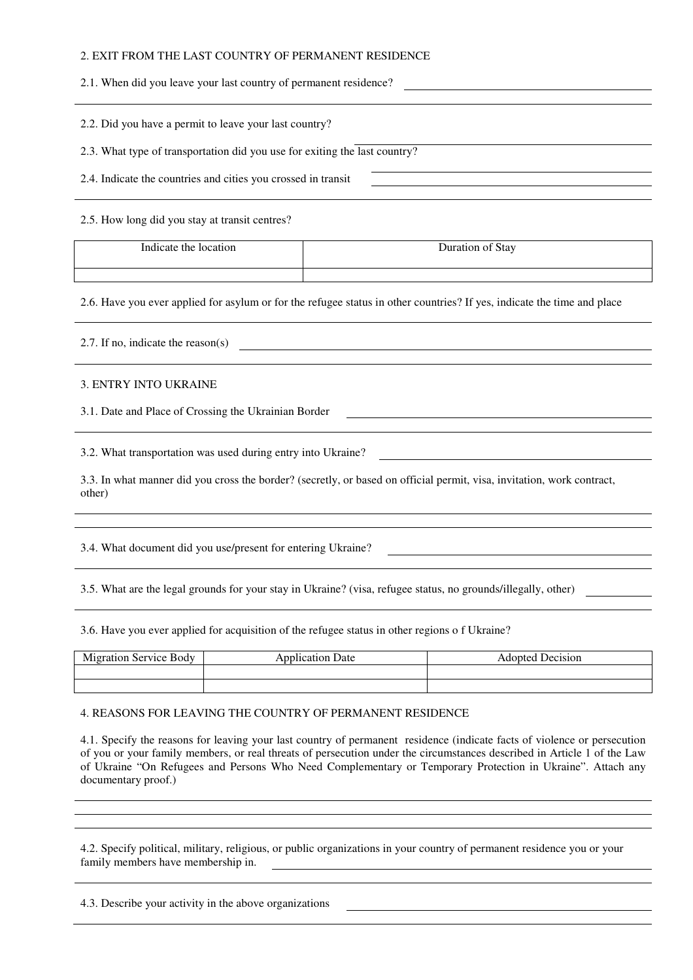### 2. EXIT FROM THE LAST COUNTRY OF PERMANENT RESIDENCE

2.1. When did you leave your last country of permanent residence?

2.2. Did you have a permit to leave your last country?

2.3. What type of transportation did you use for exiting the last country?

2.4. Indicate the countries and cities you crossed in transit

2.5. How long did you stay at transit centres?

| .<br>Indicate the location | Stay<br>Juration.<br>-01<br>$   -$ |
|----------------------------|------------------------------------|
|                            |                                    |

2.6. Have you ever applied for asylum or for the refugee status in other countries? If yes, indicate the time and place

2.7. If no, indicate the reason(s)

#### 3. ENTRY INTO UKRAINE

3.1. Date and Place of Crossing the Ukrainian Border

3.2. What transportation was used during entry into Ukraine?

3.3. In what manner did you cross the border? (secretly, or based on official permit, visa, invitation, work contract, other)

3.4. What document did you use/present for entering Ukraine?

3.5. What are the legal grounds for your stay in Ukraine? (visa, refugee status, no grounds/illegally, other)

3.6. Have you ever applied for acquisition of the refugee status in other regions o f Ukraine?

| Migration Service Body | <b>Application Date</b> | Adopted Decision |
|------------------------|-------------------------|------------------|
|                        |                         |                  |
|                        |                         |                  |

4. REASONS FOR LEAVING THE COUNTRY OF PERMANENT RESIDENCE

4.1. Specify the reasons for leaving your last country of permanent residence (indicate facts of violence or persecution of you or your family members, or real threats of persecution under the circumstances described in Article 1 of the Law of Ukraine "On Refugees and Persons Who Need Complementary or Temporary Protection in Ukraine". Attach any documentary proof.)

4.2. Specify political, military, religious, or public organizations in your country of permanent residence you or your family members have membership in.

4.3. Describe your activity in the above organizations